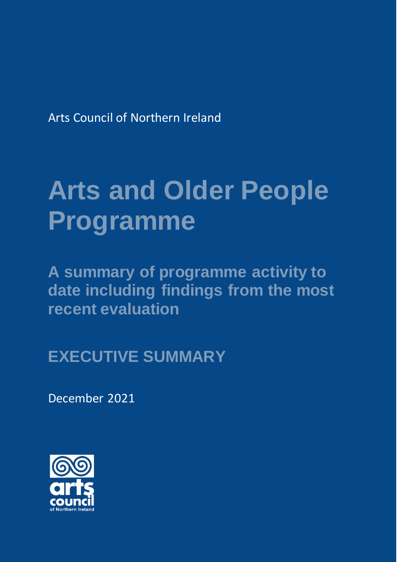Arts Council of Northern Ireland

# **Arts and Older People Programme**

**A summary of programme activity to date including findings from the most recent evaluation**

**EXECUTIVE SUMMARY**

December 2021

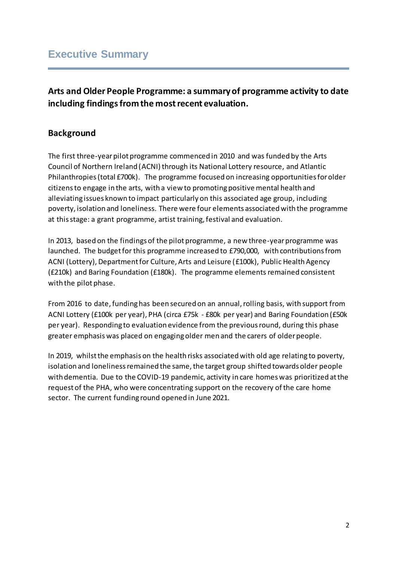## **Executive Summary**

## **Arts and Older People Programme: a summary of programme activity to date including findings from the most recent evaluation.**

### **Background**

The first three-year pilot programme commenced in 2010 and was funded by the Arts Council of Northern Ireland (ACNI) through its National Lottery resource, and Atlantic Philanthropies (total £700k). The programme focused on increasing opportunities for older citizens to engage in the arts, with a view to promoting positive mental health and alleviating issues known to impact particularly on this associated age group, including poverty, isolation and loneliness. There were four elements associated with the programme at this stage: a grant programme, artist training, festival and evaluation.

In 2013, based on the findings of the pilot programme, a new three-year programme was launched. The budget for this programme increased to £790,000, with contributions from ACNI (Lottery), Department for Culture, Arts and Leisure (£100k), Public Health Agency (£210k) and Baring Foundation (£180k). The programme elements remained consistent with the pilot phase.

From 2016 to date, funding has been secured on an annual, rolling basis, with support from ACNI Lottery (£100k per year), PHA (circa £75k - £80k per year) and Baring Foundation (£50k per year). Responding to evaluation evidence from the previous round, during this phase greater emphasis was placed on engaging older men and the carers of older people.

In 2019, whilst the emphasis on the health risks associated with old age relating to poverty, isolation and loneliness remained the same, the target group shifted towards older people with dementia. Due to the COVID-19 pandemic, activity in care homes was prioritized at the request of the PHA, who were concentrating support on the recovery of the care home sector. The current funding round opened in June 2021.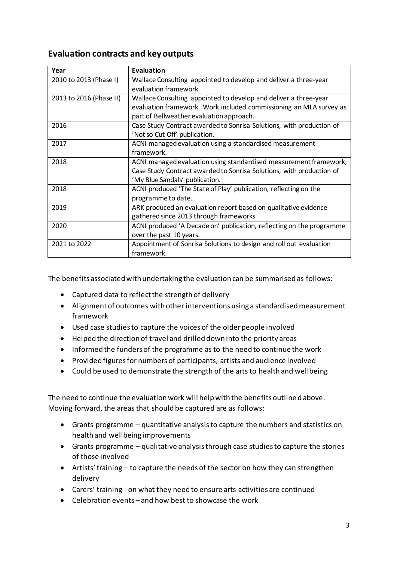#### **Evaluation contracts and key outputs**

| Year                    | <b>Evaluation</b>                                                    |
|-------------------------|----------------------------------------------------------------------|
| 2010 to 2013 (Phase I)  | Wallace Consulting appointed to develop and deliver a three-year     |
|                         | evaluation framework.                                                |
| 2013 to 2016 (Phase II) | Wallace Consulting appointed to develop and deliver a three-year     |
|                         | evaluation framework. Work included commissioning an MLA survey as   |
|                         | part of Bellweather evaluation approach.                             |
| 2016                    | Case Study Contract awarded to Sonrisa Solutions, with production of |
|                         | 'Not so Cut Off' publication.                                        |
| 2017                    | ACNI managed evaluation using a standardised measurement             |
|                         | framework.                                                           |
| 2018                    | ACNI managed evaluation using standardised measurement framework;    |
|                         | Case Study Contract awarded to Sonrisa Solutions, with production of |
|                         | 'My Blue Sandals' publication.                                       |
| 2018                    | ACNI produced 'The State of Play' publication, reflecting on the     |
|                         | programme to date.                                                   |
| 2019                    | ARK produced an evaluation report based on qualitative evidence      |
|                         | gathered since 2013 through frameworks                               |
| 2020                    | ACNI produced 'A Decade on' publication, reflecting on the programme |
|                         | over the past 10 years.                                              |
| 2021 to 2022            | Appointment of Sonrisa Solutions to design and roll out evaluation   |
|                         | framework.                                                           |

The benefits associated with undertaking the evaluation can be summarised as follows:

- Captured data to reflect the strength of delivery
- Alignment of outcomes with other interventions using a standardised measurement framework
- Used case studies to capture the voices of the older people involved
- Helped the direction of travel and drilled down into the priority areas
- Informed the funders of the programme as to the need to continue the work
- Provided figures for numbers of participants, artists and audience involved
- Could be used to demonstrate the strength of the arts to health and wellbeing

The need to continue the evaluation work will help with the benefits outline d above. Moving forward, the areas that should be captured are as follows:

- Grants programme quantitative analysis to capture the numbers and statistics on health and wellbeing improvements
- Grants programme qualitative analysis through case studies to capture the stories of those involved
- Artists'training to capture the needs of the sector on how they can strengthen delivery
- Carers' training on what they need to ensure arts activities are continued
- Celebration events and how best to showcase the work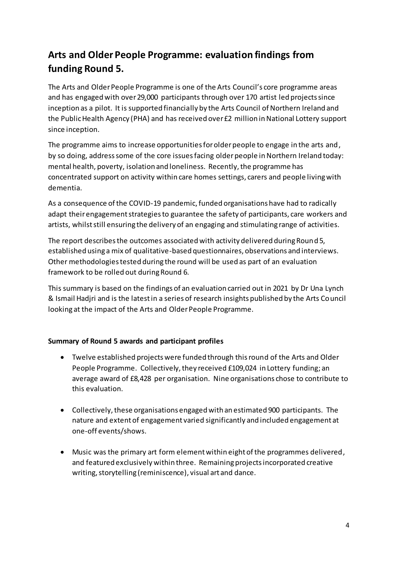# **Arts and Older People Programme: evaluation findings from funding Round 5.**

The Arts and Older People Programme is one of the Arts Council's core programme areas and has engaged with over 29,000 participants through over 170 artist led projects since inception as a pilot. It is supported financially by the Arts Council of Northern Ireland and the Public Health Agency (PHA) and has received over £2 million in National Lottery support since inception.

The programme aims to increase opportunities for older people to engage in the arts and, by so doing, address some of the core issues facing older people in Northern Ireland today: mental health, poverty, isolation and loneliness. Recently, the programme has concentrated support on activity within care homes settings, carers and people living with dementia.

As a consequence of the COVID-19 pandemic, funded organisations have had to radically adapt their engagement strategies to guarantee the safety of participants, care workers and artists, whilst still ensuring the delivery of an engaging and stimulating range of activities.

The report describes the outcomes associated with activity delivered during Round 5, established using a mix of qualitative-based questionnaires, observations and interviews. Other methodologies tested during the round will be used as part of an evaluation framework to be rolled out during Round 6.

This summary is based on the findings of an evaluation carried out in 2021 by Dr Una Lynch & Ismail Hadjri and is the latest in a series of research insights published by the Arts Council looking at the impact of the Arts and Older People Programme.

#### **Summary of Round 5 awards and participant profiles**

- Twelve established projects were funded through this round of the Arts and Older People Programme. Collectively, they received £109,024 in Lottery funding; an average award of £8,428 per organisation. Nine organisations chose to contribute to this evaluation.
- Collectively, these organisations engaged with an estimated 900 participants. The nature and extent of engagement varied significantly and included engagement at one-off events/shows.
- Music was the primary art form element within eight of the programmes delivered, and featured exclusively within three. Remaining projects incorporated creative writing, storytelling (reminiscence), visual art and dance.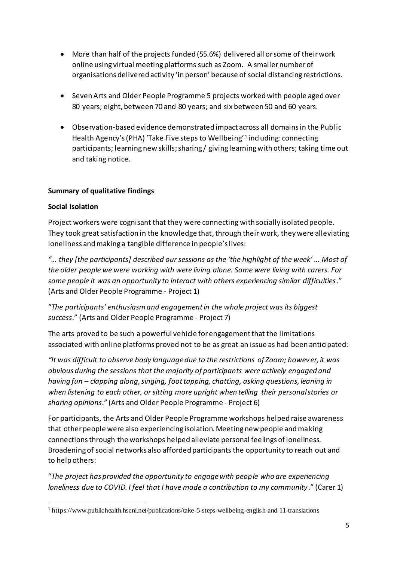- More than half of the projects funded (55.6%) delivered all or some of their work online using virtual meeting platforms such as Zoom. A smaller number of organisations delivered activity 'in person' because of social distancing restrictions.
- Seven Arts and Older People Programme 5 projects worked with people aged over 80 years; eight, between 70 and 80 years; and six between 50 and 60 years.
- Observation-based evidence demonstrated impact across all domains in the Public Health Agency's (PHA) 'Take Five steps to Wellbeing'<sup>1</sup> including: connecting participants; learning new skills; sharing / giving learning with others; taking time out and taking notice.

#### **Summary of qualitative findings**

#### **Social isolation**

Project workers were cognisant that they were connecting with socially isolated people. They took great satisfaction in the knowledge that, through their work, they were alleviating loneliness and making a tangible difference in people's lives:

*"… they [the participants] described our sessions as the 'the highlight of the week' … Most of the older people we were working with were living alone. Some were living with carers. For some people it was an opportunity to interact with others experiencing similar difficulties*." (Arts and Older People Programme - Project 1)

"*The participants' enthusiasm and engagement in the whole project was its biggest success*." (Arts and Older People Programme - Project 7)

The arts proved to be such a powerful vehicle for engagement that the limitations associated with online platforms proved not to be as great an issue as had been anticipated:

*"It was difficult to observe body language due to the restrictions of Zoom; however, it was obvious during the sessions that the majority of participants were actively engaged and having fun – clapping along, singing, foot tapping, chatting, asking questions, leaning in when listening to each other, or sitting more upright when telling their personal stories or sharing opinions*." (Arts and Older People Programme - Project 6)

For participants, the Arts and Older People Programme workshops helped raise awareness that other people were also experiencing isolation. Meeting new people and making connections through the workshops helped alleviate personal feelings of loneliness. Broadening of social networks also afforded participants the opportunity to reach out and to help others:

"*The project has provided the opportunity to engage with people who are experiencing loneliness due to COVID. I feel that I have made a contribution to my community*." (Carer 1)

 $\overline{a}$ <sup>1</sup> https://www.publichealth.hscni.net/publications/take-5-steps-wellbeing-english-and-11-translations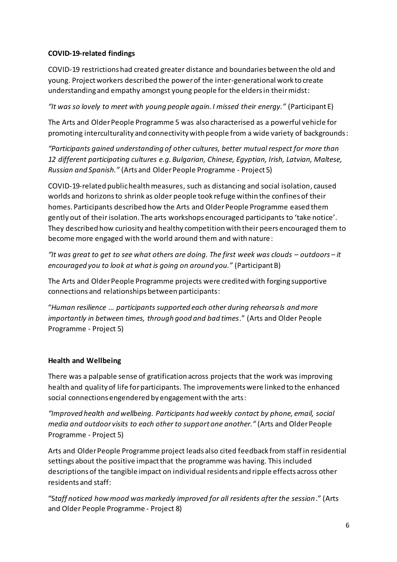#### **COVID-19-related findings**

COVID-19 restrictions had created greater distance and boundaries between the old and young. Project workers described the power of the inter-generational work to create understanding and empathy amongst young people for the elders in their midst:

*"It was so lovely to meet with young people again. I missed their energy."* (Participant E)

The Arts and Older People Programme 5 was also characterised as a powerful vehicle for promoting interculturality and connectivity with people from a wide variety of backgrounds:

*"Participants gained understanding of other cultures, better mutual respect for more than 12 different participating cultures e.g. Bulgarian, Chinese, Egyptian, Irish, Latvian, Maltese, Russian and Spanish."* (Arts and Older People Programme - Project 5)

COVID-19-related public health measures, such as distancing and social isolation, caused worlds and horizons to shrink as older people took refuge within the confines of their homes. Participants described how the Arts and Older People Programme eased them gently out of their isolation. The arts workshops encouraged participants to 'take notice'. They described how curiosity and healthy competition with their peers encouraged them to become more engaged with the world around them and with nature:

*"It was great to get to see what others are doing. The first week was clouds – outdoors – it encouraged you to look at what is going on around you."* (Participant B)

The Arts and Older People Programme projects were credited with forging supportive connections and relationships between participants:

"*Human resilience … participants supported each other during rehearsals and more importantly in between times, through good and bad times*." (Arts and Older People Programme - Project 5)

#### **Health and Wellbeing**

There was a palpable sense of gratification across projects that the work was improving health and quality of life for participants. The improvements were linked to the enhanced social connections engendered by engagement with the arts:

*"Improved health and wellbeing. Participants had weekly contact by phone, email, social media and outdoor visits to each other to support one another."* (Arts and Older People Programme - Project 5)

Arts and Older People Programme project leads also cited feedback from staff in residential settings about the positive impact that the programme was having. This included descriptions of the tangible impact on individual residents and ripple effects across other residents and staff:

"S*taff noticed how mood was markedly improved for all residents after the session*." (Arts and Older People Programme - Project 8)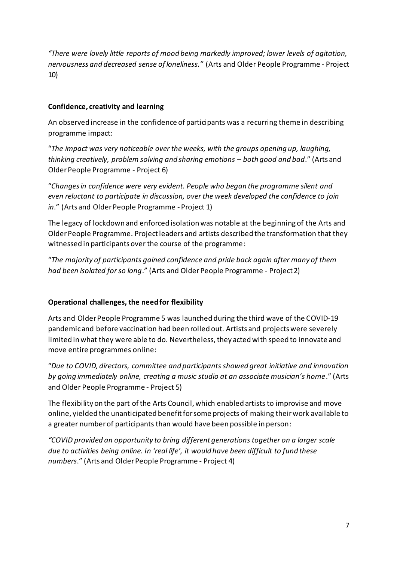*"There were lovely little reports of mood being markedly improved; lower levels of agitation, nervousness and decreased sense of loneliness."* (Arts and Older People Programme - Project 10)

#### **Confidence, creativity and learning**

An observed increase in the confidence of participants was a recurring theme in describing programme impact:

"*The impact was very noticeable over the weeks, with the groups opening up, laughing, thinking creatively, problem solving and sharing emotions – both good and bad*." (Arts and Older People Programme - Project 6)

"*Changes in confidence were very evident. People who began the programme silent and even reluctant to participate in discussion, over the week developed the confidence to join in*." (Arts and Older People Programme - Project 1)

The legacy of lockdown and enforced isolation was notable at the beginning of the Arts and Older People Programme. Project leaders and artists described the transformation that they witnessed in participants over the course of the programme:

"*The majority of participants gained confidence and pride back again after many of them had been isolated for so long*." (Arts and Older People Programme - Project 2)

#### **Operational challenges, the need for flexibility**

Arts and Older People Programme 5 was launched during the third wave of the COVID-19 pandemic and before vaccination had been rolled out. Artists and projects were severely limited in what they were able to do. Nevertheless, they acted with speed to innovate and move entire programmes online:

"*Due to COVID, directors, committee and participants showed great initiative and innovation by going immediately online, creating a music studio at an associate musician's home*." (Arts and Older People Programme - Project 5)

The flexibility on the part of the Arts Council, which enabled artists to improvise and move online, yielded the unanticipated benefit for some projects of making their work available to a greater number of participants than would have been possible in person:

*"COVID provided an opportunity to bring different generations together on a larger scale due to activities being online. In 'real life', it would have been difficult to fund these numbers*." (Arts and Older People Programme - Project 4)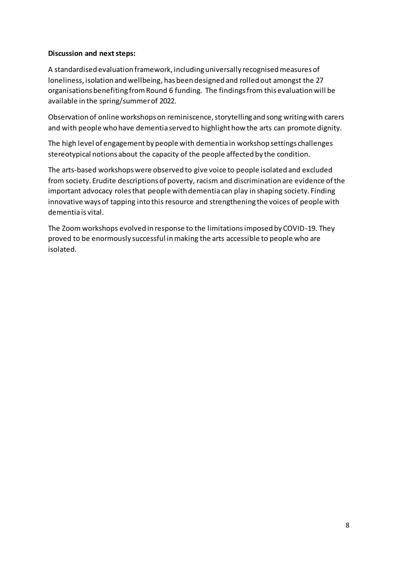#### **Discussion and next steps:**

A standardised evaluation framework, including universally recognised measures of loneliness, isolation and wellbeing, has been designed and rolled out amongst the 27 organisations benefiting from Round 6 funding. The findings from this evaluation will be available in the spring/summer of 2022.

Observation of online workshops on reminiscence, storytelling and song writing with carers and with people who have dementia served to highlight how the arts can promote dignity.

The high level of engagement by people with dementia in workshop settings challenges stereotypical notions about the capacity of the people affected by the condition.

The arts-based workshops were observed to give voice to people isolated and excluded from society. Erudite descriptions of poverty, racism and discrimination are evidence of the important advocacy roles that people with dementia can play in shaping society. Finding innovative ways of tapping into this resource and strengthening the voices of people with dementia is vital.

The Zoom workshops evolved in response to the limitations imposed by COVID-19. They proved to be enormously successful in making the arts accessible to people who are isolated.